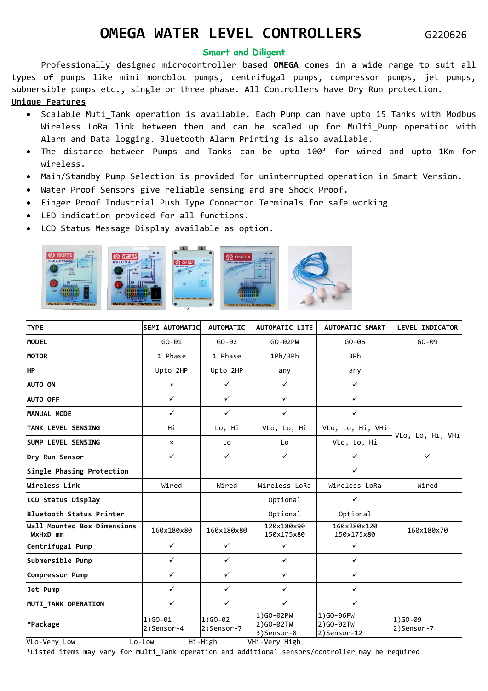## **OMEGA WATER LEVEL CONTROLLERS** G220626

## **Smart and Diligent**

Professionally designed microcontroller based **OMEGA** comes in a wide range to suit all types of pumps like mini monobloc pumps, centrifugal pumps, compressor pumps, jet pumps, submersible pumps etc., single or three phase. All Controllers have Dry Run protection. **Unique Features**

## • Scalable Muti\_Tank operation is available. Each Pump can have upto 15 Tanks with Modbus Wireless LoRa link between them and can be scaled up for Multi\_Pump operation with Alarm and Data logging. Bluetooth Alarm Printing is also available.

- The distance between Pumps and Tanks can be upto 100' for wired and upto 1Km for wireless.
- Main/Standby Pump Selection is provided for uninterrupted operation in Smart Version.
- Water Proof Sensors give reliable sensing and are Shock Proof.
- Finger Proof Industrial Push Type Connector Terminals for safe working
- LED indication provided for all functions.
- LCD Status Message Display available as option.



| <b>TYPE</b>                             | <b>SEMI AUTOMATIC</b>     | <b>AUTOMATIC</b>         | <b>AUTOMATIC LITE</b>                  | <b>AUTOMATIC SMART</b>                | <b>LEVEL INDICATOR</b> |
|-----------------------------------------|---------------------------|--------------------------|----------------------------------------|---------------------------------------|------------------------|
| <b>MODEL</b>                            | $GO - 01$                 | $GO - 02$                | GO-02PW                                | $GO-06$                               | $GO-09$                |
| <b>MOTOR</b>                            | 1 Phase                   | 1 Phase                  | 1Ph/3Ph                                | 3Ph                                   |                        |
| <b>HP</b>                               | Upto 2HP                  | Upto 2HP                 | any                                    | any                                   |                        |
| <b>AUTO ON</b>                          | $\boldsymbol{\mathsf{x}}$ | $\checkmark$             | $\checkmark$                           | $\checkmark$                          |                        |
| <b>AUTO OFF</b>                         | $\checkmark$              | $\checkmark$             | $\checkmark$                           | $\checkmark$                          |                        |
| MANUAL MODE                             | $\checkmark$              | $\checkmark$             | $\checkmark$                           | $\checkmark$                          |                        |
| <b>TANK LEVEL SENSING</b>               | Hi                        | Lo, Hi                   | VLo, Lo, Hi                            | VLo, Lo, Hi, VHi                      | VLo, Lo, Hi, VHi       |
| <b>SUMP LEVEL SENSING</b>               | $\pmb{\times}$            | Lo                       | Lo                                     | VLo, Lo, Hi                           |                        |
| Dry Run Sensor                          | $\checkmark$              | $\checkmark$             | $\checkmark$                           | $\checkmark$                          | $\checkmark$           |
| Single Phasing Protection               |                           |                          |                                        | $\checkmark$                          |                        |
| Wireless Link                           | Wired                     | Wired                    | Wireless LoRa                          | Wireless LoRa                         | Wired                  |
| LCD Status Display                      |                           |                          | Optional                               | $\checkmark$                          |                        |
| Bluetooth Status Printer                |                           |                          | Optional                               | Optional                              |                        |
| Wall Mounted Box Dimensions<br>WxHxD mm | 160x180x80                | 160x180x80               | 120x180x90<br>150x175x80               | 160x280x120<br>150x175x80             | 160x180x70             |
| Centrifugal Pump                        | $\checkmark$              | $\checkmark$             | $\checkmark$                           | $\checkmark$                          |                        |
| Submersible Pump                        | $\checkmark$              | $\checkmark$             | $\checkmark$                           | $\checkmark$                          |                        |
| Compressor Pump                         | $\checkmark$              | $\checkmark$             | $\checkmark$                           | $\checkmark$                          |                        |
| Jet Pump                                | $\checkmark$              | $\checkmark$             | $\checkmark$                           | $\checkmark$                          |                        |
| MUTI_TANK OPERATION                     | $\checkmark$              | $\checkmark$             | $\checkmark$                           | $\checkmark$                          |                        |
| *Package                                | $1)$ GO-01<br>2)Sensor-4  | $1)$ GO-02<br>2)Sensor-7 | 1)GO-02PW<br>2) GO-02TW<br>3) Sensor-8 | 1)GO-06PW<br>2)GO-02TW<br>2)Sensor-12 | 1)GO-09<br>2)Sensor-7  |
| VLo-Very Low                            | Lo-Low                    | Hi-High                  | VHi-Very High                          |                                       |                        |

\*Listed items may vary for Multi\_Tank operation and additional sensors/controller may be required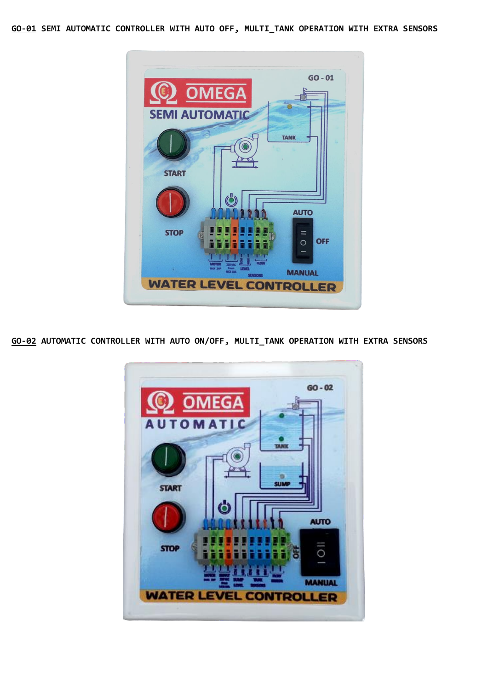**GO-01 SEMI AUTOMATIC CONTROLLER WITH AUTO OFF, MULTI\_TANK OPERATION WITH EXTRA SENSORS**



**GO-02 AUTOMATIC CONTROLLER WITH AUTO ON/OFF, MULTI\_TANK OPERATION WITH EXTRA SENSORS**